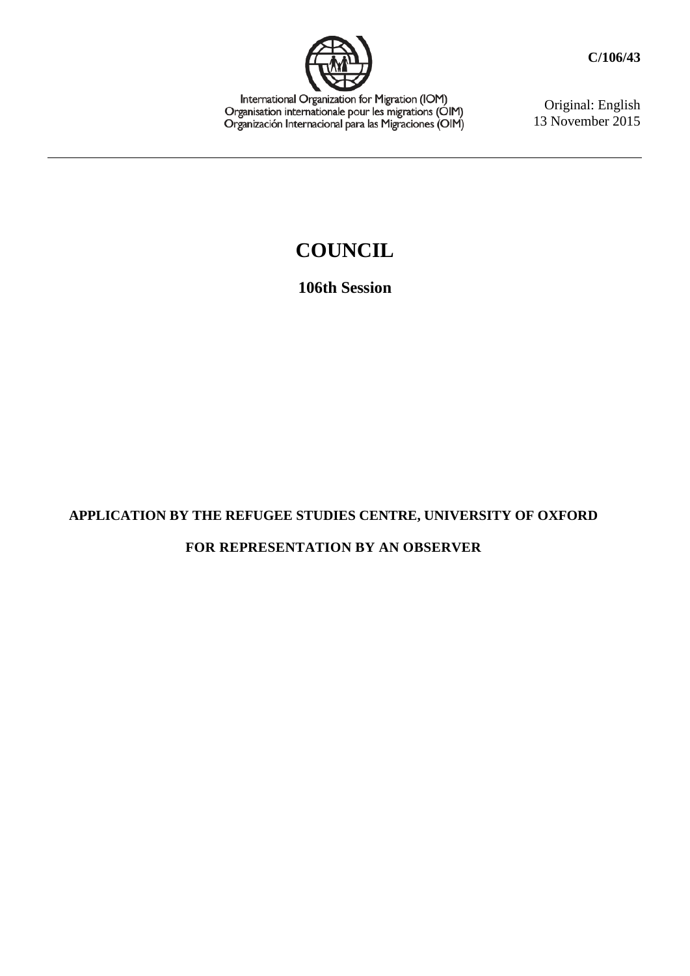

International Organization for Migration (IOM)<br>Organisation internationale pour les migrations (OIM)<br>Organización Internacional para las Migraciones (OIM)

Original: English 13 November 2015

## **COUNCIL**

**106th Session**

## **APPLICATION BY THE REFUGEE STUDIES CENTRE, UNIVERSITY OF OXFORD FOR REPRESENTATION BY AN OBSERVER**